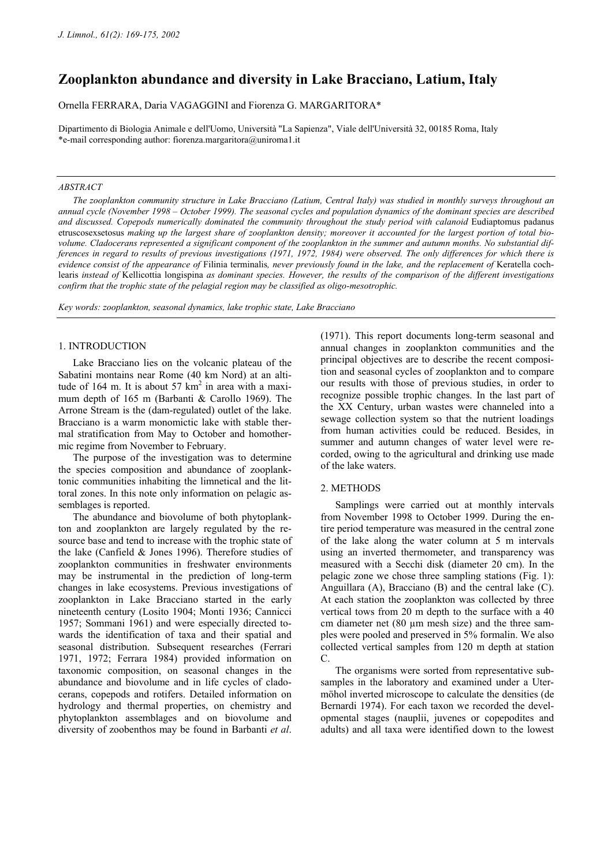# **Zooplankton abundance and diversity in Lake Bracciano, Latium, Italy**

Ornella FERRARA, Daria VAGAGGINI and Fiorenza G. MARGARITORA\*

Dipartimento di Biologia Animale e dell'Uomo, Università "La Sapienza", Viale dell'Università 32, 00185 Roma, Italy \*e-mail corresponding author: fiorenza.margaritora@uniroma1.it

#### *ABSTRACT*

*The zooplankton community structure in Lake Bracciano (Latium, Central Italy) was studied in monthly surveys throughout an annual cycle (November 1998 – October 1999). The seasonal cycles and population dynamics of the dominant species are described and discussed. Copepods numerically dominated the community throughout the study period with calanoid* Eudiaptomus padanus etruscosexsetosus *making up the largest share of zooplankton density; moreover it accounted for the largest portion of total biovolume. Cladocerans represented a significant component of the zooplankton in the summer and autumn months. No substantial differences in regard to results of previous investigations (1971, 1972, 1984) were observed. The only differences for which there is evidence consist of the appearance of* Filinia terminalis*, never previously found in the lake, and the replacement of* Keratella cochlearis *instead of* Kellicottia longispina *as dominant species. However, the results of the comparison of the different investigations confirm that the trophic state of the pelagial region may be classified as oligo-mesotrophic.*

*Key words: zooplankton, seasonal dynamics, lake trophic state, Lake Bracciano*

## 1. INTRODUCTION

Lake Bracciano lies on the volcanic plateau of the Sabatini montains near Rome (40 km Nord) at an altitude of 164 m. It is about 57  $km^2$  in area with a maximum depth of 165 m (Barbanti & Carollo 1969). The Arrone Stream is the (dam-regulated) outlet of the lake. Bracciano is a warm monomictic lake with stable thermal stratification from May to October and homothermic regime from November to February.

The purpose of the investigation was to determine the species composition and abundance of zooplanktonic communities inhabiting the limnetical and the littoral zones. In this note only information on pelagic assemblages is reported.

The abundance and biovolume of both phytoplankton and zooplankton are largely regulated by the resource base and tend to increase with the trophic state of the lake (Canfield & Jones 1996). Therefore studies of zooplankton communities in freshwater environments may be instrumental in the prediction of long-term changes in lake ecosystems. Previous investigations of zooplankton in Lake Bracciano started in the early nineteenth century (Losito 1904; Monti 1936; Cannicci 1957; Sommani 1961) and were especially directed towards the identification of taxa and their spatial and seasonal distribution. Subsequent researches (Ferrari 1971, 1972; Ferrara 1984) provided information on taxonomic composition, on seasonal changes in the abundance and biovolume and in life cycles of cladocerans, copepods and rotifers. Detailed information on hydrology and thermal properties, on chemistry and phytoplankton assemblages and on biovolume and diversity of zoobenthos may be found in Barbanti *et al*.

(1971). This report documents long-term seasonal and annual changes in zooplankton communities and the principal objectives are to describe the recent composition and seasonal cycles of zooplankton and to compare our results with those of previous studies, in order to recognize possible trophic changes. In the last part of the XX Century, urban wastes were channeled into a sewage collection system so that the nutrient loadings from human activities could be reduced. Besides, in summer and autumn changes of water level were recorded, owing to the agricultural and drinking use made of the lake waters.

#### 2. METHODS

Samplings were carried out at monthly intervals from November 1998 to October 1999. During the entire period temperature was measured in the central zone of the lake along the water column at 5 m intervals using an inverted thermometer, and transparency was measured with a Secchi disk (diameter 20 cm). In the pelagic zone we chose three sampling stations (Fig. 1): Anguillara (A), Bracciano (B) and the central lake (C). At each station the zooplankton was collected by three vertical tows from 20 m depth to the surface with a 40 cm diameter net (80 µm mesh size) and the three samples were pooled and preserved in 5% formalin. We also collected vertical samples from 120 m depth at station C.

The organisms were sorted from representative subsamples in the laboratory and examined under a Utermöhol inverted microscope to calculate the densities (de Bernardi 1974). For each taxon we recorded the developmental stages (nauplii, juvenes or copepodites and adults) and all taxa were identified down to the lowest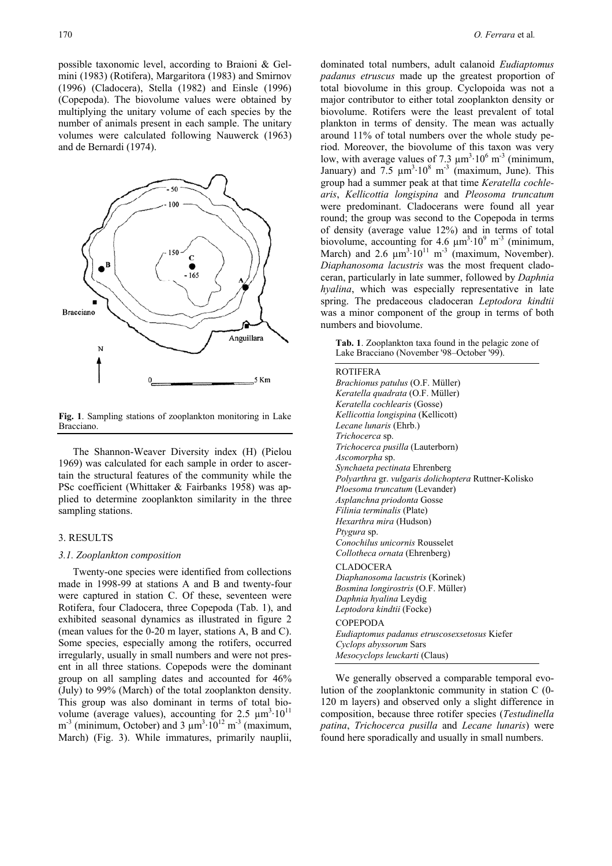possible taxonomic level, according to Braioni & Gelmini (1983) (Rotifera), Margaritora (1983) and Smirnov (1996) (Cladocera), Stella (1982) and Einsle (1996) (Copepoda). The biovolume values were obtained by multiplying the unitary volume of each species by the number of animals present in each sample. The unitary volumes were calculated following Nauwerck (1963) and de Bernardi (1974).



**Fig. 1**. Sampling stations of zooplankton monitoring in Lake Bracciano.

The Shannon-Weaver Diversity index (H) (Pielou 1969) was calculated for each sample in order to ascertain the structural features of the community while the PSc coefficient (Whittaker & Fairbanks 1958) was applied to determine zooplankton similarity in the three sampling stations.

# 3. RESULTS

# *3.1. Zooplankton composition*

Twenty-one species were identified from collections made in 1998-99 at stations A and B and twenty-four were captured in station C. Of these, seventeen were Rotifera, four Cladocera, three Copepoda (Tab. 1), and exhibited seasonal dynamics as illustrated in figure 2 (mean values for the 0-20 m layer, stations A, B and C). Some species, especially among the rotifers, occurred irregularly, usually in small numbers and were not present in all three stations. Copepods were the dominant group on all sampling dates and accounted for 46% (July) to 99% (March) of the total zooplankton density. This group was also dominant in terms of total biovolume (average values), accounting for 2.5  $\mu$ m<sup>3</sup>·10<sup>11</sup>  $m<sup>3</sup>$  (minimum, October) and 3  $\mu m<sup>3</sup> \cdot 10<sup>12</sup>$  m<sup>-3</sup> (maximum, March) (Fig. 3). While immatures, primarily nauplii,

dominated total numbers, adult calanoid *Eudiaptomus padanus etruscus* made up the greatest proportion of total biovolume in this group. Cyclopoida was not a major contributor to either total zooplankton density or biovolume. Rotifers were the least prevalent of total plankton in terms of density. The mean was actually around 11% of total numbers over the whole study period. Moreover, the biovolume of this taxon was very low, with average values of 7.3  $\mu$ m<sup>3</sup> $\cdot$ 10<sup>6</sup> m<sup>-3</sup> (minimum, January) and  $7.5 \mu m^3 \cdot 10^8 m^3$  (maximum, June). This group had a summer peak at that time *Keratella cochlearis*, *Kellicottia longispina* and *Pleosoma truncatum* were predominant. Cladocerans were found all year round; the group was second to the Copepoda in terms of density (average value 12%) and in terms of total biovolume, accounting for 4.6  $\mu$ m<sup>3</sup> $\cdot$ 10<sup>9</sup> m<sup>-3</sup> (minimum, March) and 2.6  $\mu$ m<sup>3</sup> $\cdot$ 10<sup>11</sup> m<sup>-3</sup> (maximum, November). *Diaphanosoma lacustris* was the most frequent cladoceran, particularly in late summer, followed by *Daphnia hyalina*, which was especially representative in late spring. The predaceous cladoceran *Leptodora kindtii* was a minor component of the group in terms of both numbers and biovolume.

**Tab. 1**. Zooplankton taxa found in the pelagic zone of Lake Bracciano (November '98–October '99).

### ROTIFERA

*Brachionus patulus* (O.F. Müller) *Keratella quadrata* (O.F. Müller) *Keratella cochlearis* (Gosse) *Kellicottia longispina* (Kellicott) *Lecane lunaris* (Ehrb.) *Trichocerca* sp. *Trichocerca pusilla* (Lauterborn) *Ascomorpha* sp. *Synchaeta pectinata* Ehrenberg *Polyarthra* gr. *vulgaris dolichoptera* Ruttner-Kolisko *Ploesoma truncatum* (Levander) *Asplanchna priodonta* Gosse *Filinia terminalis* (Plate) *Hexarthra mira* (Hudson) *Ptygura* sp. *Conochilus unicornis* Rousselet *Collotheca ornata* (Ehrenberg) CLADOCERA *Diaphanosoma lacustris* (Korìnek) *Bosmina longirostris* (O.F. Müller) *Daphnia hyalina* Leydig *Leptodora kindtii* (Focke) COPEPODA *Eudiaptomus padanus etruscosexsetosus* Kiefer *Cyclops abyssorum* Sars *Mesocyclops leuckarti* (Claus)

We generally observed a comparable temporal evolution of the zooplanktonic community in station C (0- 120 m layers) and observed only a slight difference in composition, because three rotifer species (*Testudinella patina*, *Trichocerca pusilla* and *Lecane lunaris*) were found here sporadically and usually in small numbers.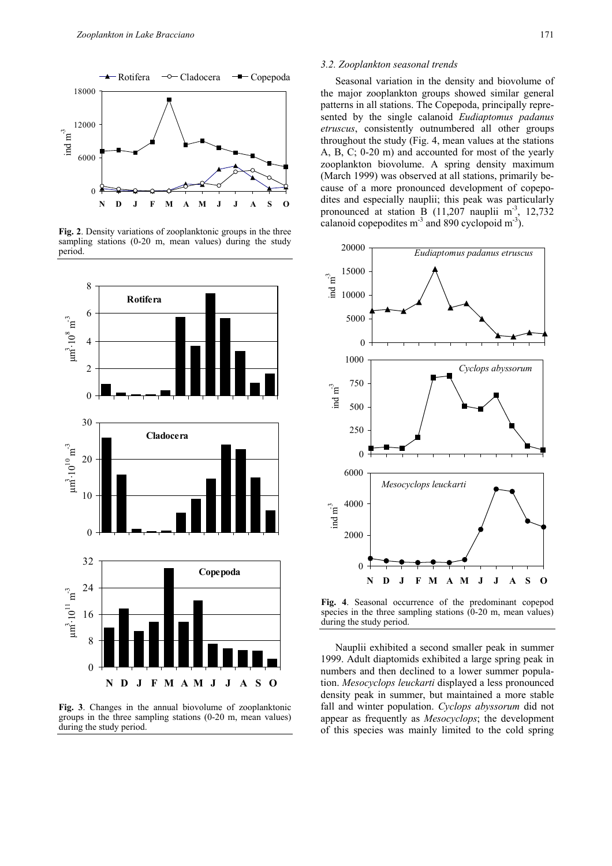

**Fig. 2**. Density variations of zooplanktonic groups in the three sampling stations (0-20 m, mean values) during the study period.



**Fig. 3**. Changes in the annual biovolume of zooplanktonic groups in the three sampling stations (0-20 m, mean values) during the study period.

### *3.2. Zooplankton seasonal trends*

Seasonal variation in the density and biovolume of the major zooplankton groups showed similar general patterns in all stations. The Copepoda, principally represented by the single calanoid *Eudiaptomus padanus etruscus*, consistently outnumbered all other groups throughout the study (Fig. 4, mean values at the stations A, B, C; 0-20 m) and accounted for most of the yearly zooplankton biovolume. A spring density maximum (March 1999) was observed at all stations, primarily because of a more pronounced development of copepodites and especially nauplii; this peak was particularly pronounced at station B  $(11,207$  nauplii m<sup>-3</sup>, 12,732 calanoid copepodites  $m<sup>3</sup>$  and 890 cyclopoid  $m<sup>3</sup>$ ).



**Fig. 4**. Seasonal occurrence of the predominant copepod species in the three sampling stations (0-20 m, mean values) during the study period.

Nauplii exhibited a second smaller peak in summer 1999. Adult diaptomids exhibited a large spring peak in numbers and then declined to a lower summer population. *Mesocyclops leuckarti* displayed a less pronounced density peak in summer, but maintained a more stable fall and winter population. *Cyclops abyssorum* did not appear as frequently as *Mesocyclops*; the development of this species was mainly limited to the cold spring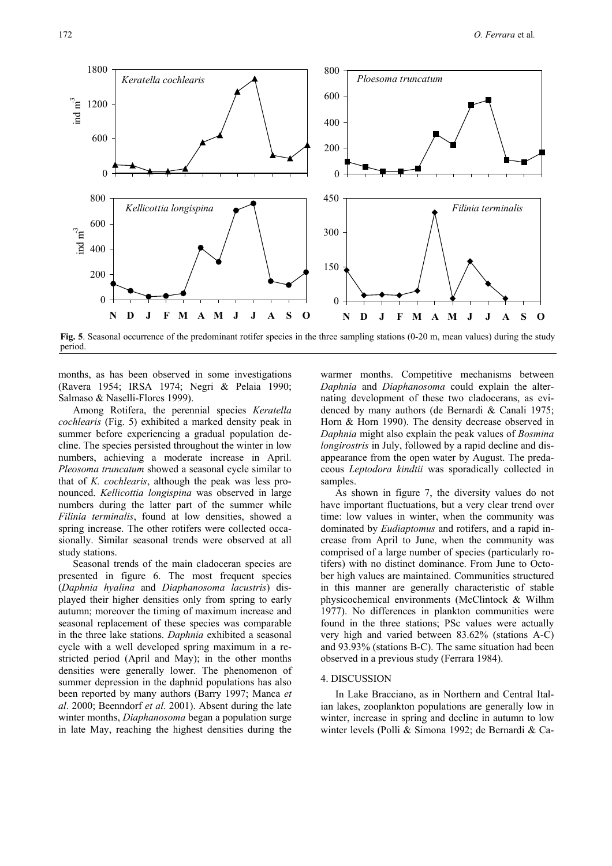

**Fig. 5**. Seasonal occurrence of the predominant rotifer species in the three sampling stations (0-20 m, mean values) during the study period.

months, as has been observed in some investigations (Ravera 1954; IRSA 1974; Negri & Pelaia 1990; Salmaso & Naselli-Flores 1999).

Among Rotifera, the perennial species *Keratella cochlearis* (Fig. 5) exhibited a marked density peak in summer before experiencing a gradual population decline. The species persisted throughout the winter in low numbers, achieving a moderate increase in April. *Pleosoma truncatum* showed a seasonal cycle similar to that of *K. cochlearis*, although the peak was less pronounced. *Kellicottia longispina* was observed in large numbers during the latter part of the summer while *Filinia terminalis*, found at low densities, showed a spring increase. The other rotifers were collected occasionally. Similar seasonal trends were observed at all study stations.

Seasonal trends of the main cladoceran species are presented in figure 6. The most frequent species (*Daphnia hyalina* and *Diaphanosoma lacustris*) displayed their higher densities only from spring to early autumn; moreover the timing of maximum increase and seasonal replacement of these species was comparable in the three lake stations. *Daphnia* exhibited a seasonal cycle with a well developed spring maximum in a restricted period (April and May); in the other months densities were generally lower. The phenomenon of summer depression in the daphnid populations has also been reported by many authors (Barry 1997; Manca *et al*. 2000; Beenndorf *et al*. 2001). Absent during the late winter months, *Diaphanosoma* began a population surge in late May, reaching the highest densities during the warmer months. Competitive mechanisms between *Daphnia* and *Diaphanosoma* could explain the alternating development of these two cladocerans, as evidenced by many authors (de Bernardi & Canali 1975; Horn & Horn 1990). The density decrease observed in *Daphnia* might also explain the peak values of *Bosmina longirostris* in July, followed by a rapid decline and disappearance from the open water by August. The predaceous *Leptodora kindtii* was sporadically collected in samples.

As shown in figure 7, the diversity values do not have important fluctuations, but a very clear trend over time: low values in winter, when the community was dominated by *Eudiaptomus* and rotifers, and a rapid increase from April to June, when the community was comprised of a large number of species (particularly rotifers) with no distinct dominance. From June to October high values are maintained. Communities structured in this manner are generally characteristic of stable physicochemical environments (McClintock & Wilhm 1977). No differences in plankton communities were found in the three stations; PSc values were actually very high and varied between 83.62% (stations A-C) and 93.93% (stations B-C). The same situation had been observed in a previous study (Ferrara 1984).

### 4. DISCUSSION

In Lake Bracciano, as in Northern and Central Italian lakes, zooplankton populations are generally low in winter, increase in spring and decline in autumn to low winter levels (Polli & Simona 1992; de Bernardi & Ca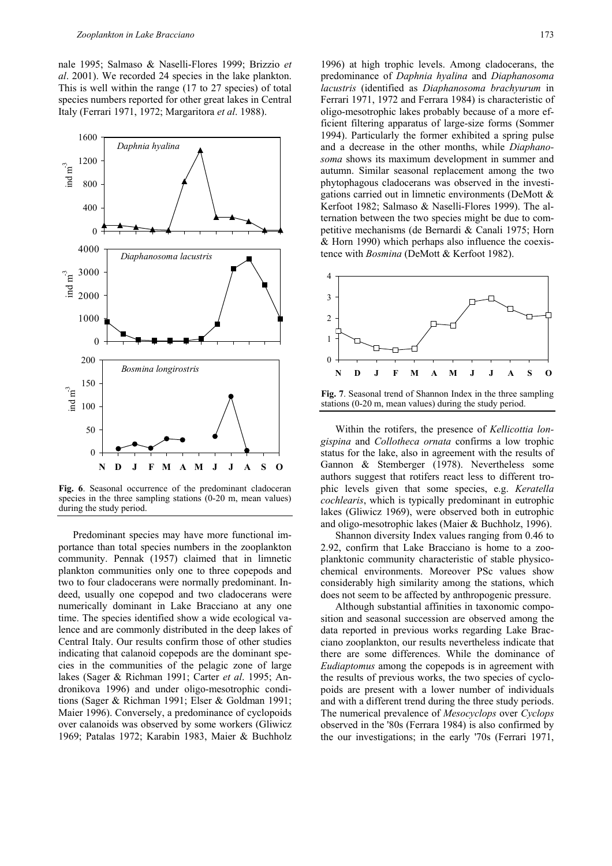nale 1995; Salmaso & Naselli-Flores 1999; Brizzio *et al*. 2001). We recorded 24 species in the lake plankton. This is well within the range (17 to 27 species) of total species numbers reported for other great lakes in Central Italy (Ferrari 1971, 1972; Margaritora *et al*. 1988).



**Fig. 6**. Seasonal occurrence of the predominant cladoceran species in the three sampling stations (0-20 m, mean values) during the study period.

Predominant species may have more functional importance than total species numbers in the zooplankton community. Pennak (1957) claimed that in limnetic plankton communities only one to three copepods and two to four cladocerans were normally predominant. Indeed, usually one copepod and two cladocerans were numerically dominant in Lake Bracciano at any one time. The species identified show a wide ecological valence and are commonly distributed in the deep lakes of Central Italy. Our results confirm those of other studies indicating that calanoid copepods are the dominant species in the communities of the pelagic zone of large lakes (Sager & Richman 1991; Carter *et al*. 1995; Andronikova 1996) and under oligo-mesotrophic conditions (Sager & Richman 1991; Elser & Goldman 1991; Maier 1996). Conversely, a predominance of cyclopoids over calanoids was observed by some workers (Gliwicz 1969; Patalas 1972; Karabin 1983, Maier & Buchholz

1996) at high trophic levels. Among cladocerans, the predominance of *Daphnia hyalina* and *Diaphanosoma lacustris* (identified as *Diaphanosoma brachyurum* in Ferrari 1971, 1972 and Ferrara 1984) is characteristic of oligo-mesotrophic lakes probably because of a more efficient filtering apparatus of large-size forms (Sommer 1994). Particularly the former exhibited a spring pulse and a decrease in the other months, while *Diaphanosoma* shows its maximum development in summer and autumn. Similar seasonal replacement among the two phytophagous cladocerans was observed in the investigations carried out in limnetic environments (DeMott & Kerfoot 1982; Salmaso & Naselli-Flores 1999). The alternation between the two species might be due to com-



petitive mechanisms (de Bernardi & Canali 1975; Horn & Horn 1990) which perhaps also influence the coexis-

tence with *Bosmina* (DeMott & Kerfoot 1982).

**Fig. 7**. Seasonal trend of Shannon Index in the three sampling stations (0-20 m, mean values) during the study period.

Within the rotifers, the presence of *Kellicottia longispina* and *Collotheca ornata* confirms a low trophic status for the lake, also in agreement with the results of Gannon & Stemberger (1978). Nevertheless some authors suggest that rotifers react less to different trophic levels given that some species, e.g. *Keratella cochlearis*, which is typically predominant in eutrophic lakes (Gliwicz 1969), were observed both in eutrophic and oligo-mesotrophic lakes (Maier & Buchholz, 1996).

Shannon diversity Index values ranging from 0.46 to 2.92, confirm that Lake Bracciano is home to a zooplanktonic community characteristic of stable physicochemical environments. Moreover PSc values show considerably high similarity among the stations, which does not seem to be affected by anthropogenic pressure.

Although substantial affinities in taxonomic composition and seasonal succession are observed among the data reported in previous works regarding Lake Bracciano zooplankton, our results nevertheless indicate that there are some differences. While the dominance of *Eudiaptomus* among the copepods is in agreement with the results of previous works, the two species of cyclopoids are present with a lower number of individuals and with a different trend during the three study periods. The numerical prevalence of *Mesocyclops* over *Cyclops* observed in the '80s (Ferrara 1984) is also confirmed by the our investigations; in the early '70s (Ferrari 1971,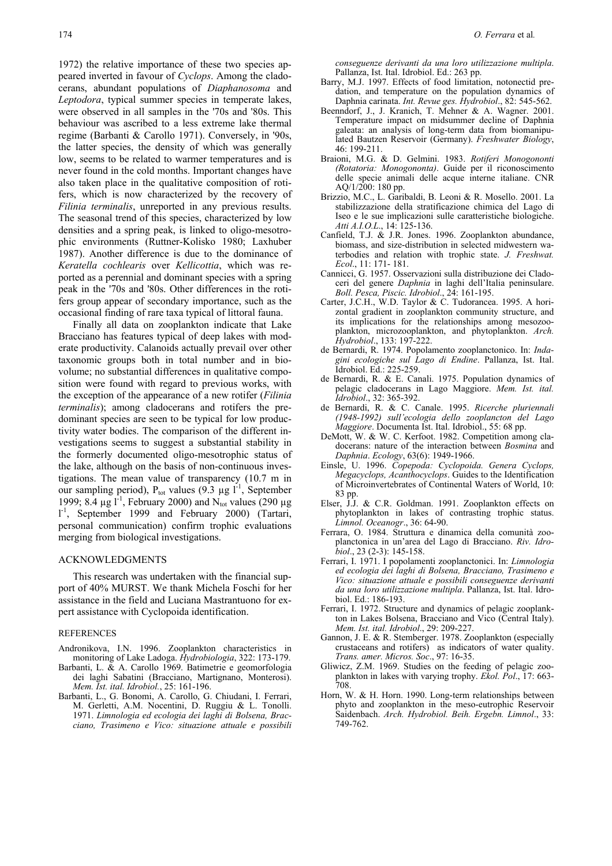1972) the relative importance of these two species appeared inverted in favour of *Cyclops*. Among the cladocerans, abundant populations of *Diaphanosoma* and *Leptodora*, typical summer species in temperate lakes, were observed in all samples in the '70s and '80s. This behaviour was ascribed to a less extreme lake thermal regime (Barbanti & Carollo 1971). Conversely, in '90s, the latter species, the density of which was generally low, seems to be related to warmer temperatures and is never found in the cold months. Important changes have also taken place in the qualitative composition of rotifers, which is now characterized by the recovery of *Filinia terminalis*, unreported in any previous results. The seasonal trend of this species, characterized by low densities and a spring peak, is linked to oligo-mesotrophic environments (Ruttner-Kolisko 1980; Laxhuber 1987). Another difference is due to the dominance of *Keratella cochlearis* over *Kellicottia*, which was reported as a perennial and dominant species with a spring peak in the '70s and '80s. Other differences in the rotifers group appear of secondary importance, such as the occasional finding of rare taxa typical of littoral fauna.

Finally all data on zooplankton indicate that Lake Bracciano has features typical of deep lakes with moderate productivity. Calanoids actually prevail over other taxonomic groups both in total number and in biovolume; no substantial differences in qualitative composition were found with regard to previous works, with the exception of the appearance of a new rotifer (*Filinia terminalis*); among cladocerans and rotifers the predominant species are seen to be typical for low productivity water bodies. The comparison of the different investigations seems to suggest a substantial stability in the formerly documented oligo-mesotrophic status of the lake, although on the basis of non-continuous investigations. The mean value of transparency (10.7 m in our sampling period),  $P_{\text{tot}}$  values (9.3 µg l<sup>-1</sup>, September 1999; 8.4  $\mu$ g l<sup>-1</sup>, February 2000) and N<sub>tot</sub> values (290  $\mu$ g l -1, September 1999 and February 2000) (Tartari, personal communication) confirm trophic evaluations merging from biological investigations.

#### ACKNOWLEDGMENTS

This research was undertaken with the financial support of 40% MURST. We thank Michela Foschi for her assistance in the field and Luciana Mastrantuono for expert assistance with Cyclopoida identification.

#### REFERENCES

- Andronikova, I.N. 1996. Zooplankton characteristics in monitoring of Lake Ladoga. *Hydrobiologia*, 322: 173-179.
- Barbanti, L. & A. Carollo 1969. Batimetrie e geomorfologia dei laghi Sabatini (Bracciano, Martignano, Monterosi). *Mem. Ist. ital. Idrobiol.*, 25: 161-196.
- Barbanti, L., G. Bonomi, A. Carollo, G. Chiudani, I. Ferrari, M. Gerletti, A.M. Nocentini, D. Ruggiu & L. Tonolli. 1971. *Limnologia ed ecologia dei laghi di Bolsena, Bracciano, Trasimeno e Vico: situazione attuale e possibili*

*conseguenze derivanti da una loro utilizzazione multipla*. Pallanza, Ist. Ital. Idrobiol. Ed.: 263 pp.

- Barry, M.J. 1997. Effects of food limitation, notonectid predation, and temperature on the population dynamics of Daphnia carinata. *Int. Revue ges. Hydrobiol*., 82: 545-562.
- Beenndorf, J., J. Kranich, T. Mehner & A. Wagner. 2001. Temperature impact on midsummer decline of Daphnia galeata: an analysis of long-term data from biomanipulated Bautzen Reservoir (Germany). *Freshwater Biology*, 46: 199-211.
- Braioni, M.G. & D. Gelmini. 1983. *Rotiferi Monogononti (Rotatoria: Monogononta)*. Guide per il riconoscimento delle specie animali delle acque interne italiane. CNR AQ/1/200: 180 pp.
- Brizzio, M.C., L. Garibaldi, B. Leoni & R. Mosello. 2001. La stabilizzazione della stratificazione chimica del Lago di Iseo e le sue implicazioni sulle caratteristiche biologiche. *Atti A.I.O.L*., 14: 125-136.
- Canfield, T.J. & J.R. Jones. 1996. Zooplankton abundance, biomass, and size-distribution in selected midwestern waterbodies and relation with trophic state. *J. Freshwat. Ecol*., 11: 171- 181.
- Cannicci, G. 1957. Osservazioni sulla distribuzione dei Cladoceri del genere *Daphnia* in laghi dell'Italia peninsulare. *Boll. Pesca, Piscic. Idrobiol*., 24: 161-195.
- Carter, J.C.H., W.D. Taylor & C. Tudorancea. 1995. A horizontal gradient in zooplankton community structure, and its implications for the relationships among mesozooplankton, microzooplankton, and phytoplankton. *Arch. Hydrobiol*., 133: 197-222.
- de Bernardi, R. 1974. Popolamento zooplanctonico. In: *Indagini ecologiche sul Lago di Endine*. Pallanza, Ist. Ital. Idrobiol. Ed.: 225-259.
- de Bernardi, R. & E. Canali. 1975. Population dynamics of pelagic cladocerans in Lago Maggiore. *Mem. Ist. ital. Idrobiol*., 32: 365-392.
- de Bernardi, R. & C. Canale. 1995. *Ricerche pluriennali (1948-1992) sull'ecologia dello zooplancton del Lago Maggiore*. Documenta Ist. Ital. Idrobiol., 55: 68 pp.
- DeMott, W. & W. C. Kerfoot. 1982. Competition among cladocerans: nature of the interaction between *Bosmina* and *Daphnia*. *Ecology*, 63(6): 1949-1966.
- Einsle, U. 1996. *Copepoda: Cyclopoida. Genera Cyclops, Megacyclops, Acanthocyclops*. Guides to the Identification of Microinvertebrates of Continental Waters of World, 10: 83 pp.
- Elser, J.J. & C.R. Goldman. 1991. Zooplankton effects on phytoplankton in lakes of contrasting trophic status. *Limnol. Oceanogr*., 36: 64-90.
- Ferrara, O. 1984. Struttura e dinamica della comunità zooplanctonica in un'area del Lago di Bracciano. *Riv. Idrobiol*., 23 (2-3): 145-158.
- Ferrari, I. 1971. I popolamenti zooplanctonici. In: *Limnologia ed ecologia dei laghi di Bolsena, Bracciano, Trasimeno e Vico: situazione attuale e possibili conseguenze derivanti da una loro utilizzazione multipla*. Pallanza, Ist. Ital. Idrobiol. Ed.: 186-193.
- Ferrari, I. 1972. Structure and dynamics of pelagic zooplankton in Lakes Bolsena, Bracciano and Vico (Central Italy). *Mem. Ist. ital. Idrobiol*., 29: 209-227.
- Gannon, J. E. & R. Stemberger. 1978. Zooplankton (especially crustaceans and rotifers) as indicators of water quality. *Trans. amer. Micros. Soc*., 97: 16-35.
- Gliwicz, Z.M. 1969. Studies on the feeding of pelagic zooplankton in lakes with varying trophy. *Ekol. Pol*., 17: 663- 708.
- Horn, W. & H. Horn. 1990. Long-term relationships between phyto and zooplankton in the meso-eutrophic Reservoir Saidenbach. *Arch. Hydrobiol. Beih. Ergebn. Limnol*., 33: 749-762.